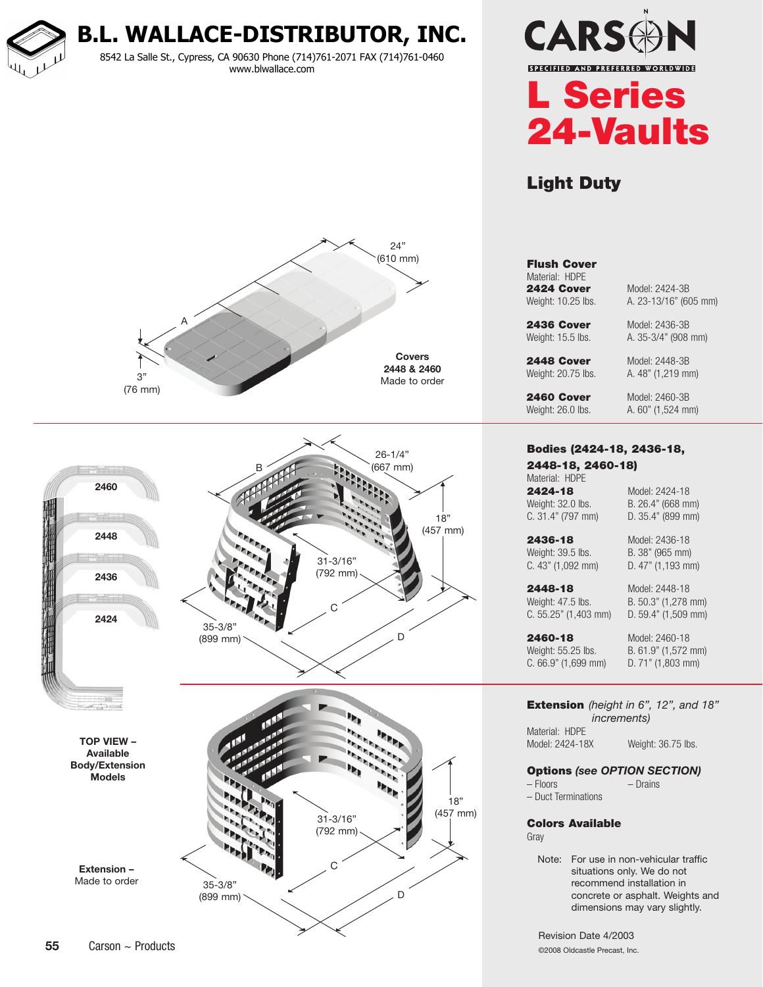**B.L. WALLACE-DISTRIBUTOR, INC.**

8542 La Salle St., Cypress, CA 90630 Phone (714)761-2071 FAX (714)761-0460 www.blwallace.com





# Light Duty





### Flush Cover Material: HDPE **2424 Cover** Model: 2424-3B Weight: 10.25 lbs. <br>
A. 23-13/16" (605 mm)

**2436 Cover** Model: 2436-3B Weight: 15.5 lbs. <br>A. 35-3/4" (908 mm)

**2460 Cover** Model: 2460-3B Weight: 26.0 lbs. <br>
A. 60" (1,524 mm)

#### Bodies (2424-18, 2436-18, 2448-18, 2460-18)

**2448 Cover** Model: 2448-3B Weight: 20.75 lbs. <br>A. 48" (1,219 mm)

Material: HDPE 2424-18 Model: 2424-18 Weight: 32.0 lbs. B. 26.4" (668 mm)

C. 31.4" (797 mm) D. 35.4" (899 mm)

2436-18 Model: 2436-18 Weight: 39.5 lbs. B. 38" (965 mm) C. 43" (1,092 mm) D. 47" (1,193 mm)

**2448-18** Model: 2448-18 Weight: 47.5 lbs. B. 50.3" (1,278 mm)

C. 55.25" (1,403 mm) D. 59.4" (1,509 mm)

Weight: 55.25 lbs. B. 61.9" (1,572 mm) C. 66.9" (1,699 mm) D. 71" (1,803 mm)

2460-18 Model: 2460-18

### Extension *(height in 6", 12", and 18" increments)*

Material: HDPE Model: 2424-18X Weight: 36.75 lbs.

### Options *(see OPTION SECTION)*

– Floors – Drains – Duct Terminations

Colors Available

Gray

Note: For use in non-vehicular traffic situations only. We do not recommend installation in concrete or asphalt. Weights and dimensions may vary slightly.

Revision Date 4/2003 ©2008 Oldcastle Precast, Inc.